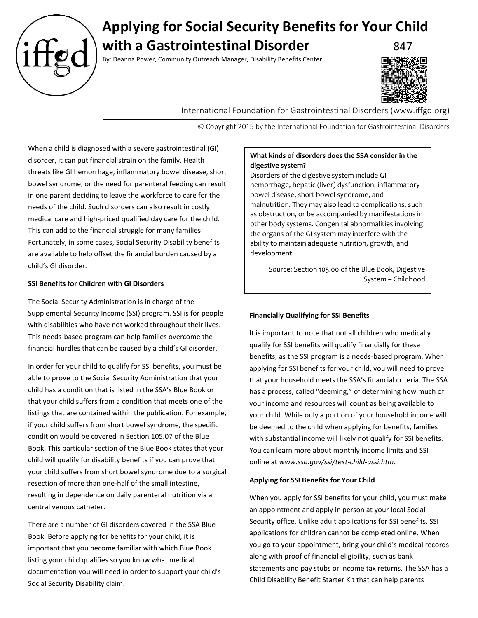

# **Applying for Social Security Benefits for Your Child with a Gastrointestinal Disorder** 847

By: Deanna Power, Community Outreach Manager, Disability Benefits Center



International Foundation for Gastrointestinal Disorders (www.iffgd.org)

© Copyright 2015 by the International Foundation for Gastrointestinal Disorders

When a child is diagnosed with a severe gastrointestinal (GI) disorder, it can put financial strain on the family. Health threats like GI hemorrhage, inflammatory bowel disease, short bowel syndrome, or the need for parenteral feeding can result in one parent deciding to leave the workforce to care for the needs of the child. Such disorders can also result in costly medical care and high-priced qualified day care for the child. This can add to the financial struggle for many families. Fortunately, in some cases, Social Security Disability benefits are available to help offset the financial burden caused by a child's GI disorder.

## **SSI Benefits for Children with GI Disorders**

The Social Security Administration is in charge of the Supplemental Security Income (SSI) program. SSI is for people with disabilities who have not worked throughout their lives. This needs-based program can help families overcome the financial hurdles that can be caused by a child's GI disorder.

In order for your child to qualify for SSI benefits, you must be able to prove to the Social Security Administration that your child has a condition that is listed in the SSA's Blue Book or that your child suffers from a condition that meets one of the listings that are contained within the publication. For example, if your child suffers from short bowel syndrome, the specific condition would be covered in Section 105.07 of the Blue Book. This particular section of the Blue Book states that your child will qualify for disability benefits if you can prove that your child suffers from short bowel syndrome due to a surgical resection of more than one-half of the small intestine, resulting in dependence on daily parenteral nutrition via a central venous catheter.

There are a number of GI disorders covered in the SSA Blue Book. Before applying for benefits for your child, it is important that you become familiar with which Blue Book listing your child qualifies so you know what medical documentation you will need in order to support your child's Social Security Disability claim.

# **What kinds of disorders does the SSA consider in the digestive system?**

Disorders of the digestive system include GI hemorrhage, hepatic (liver) dysfunction, inflammatory bowel disease, short bowel syndrome, and malnutrition. They may also lead to complications, such as obstruction, or be accompanied by manifestations in other body systems. Congenital abnormalities involving the organs of the GI system may interfere with the ability to maintain adequate nutrition, growth, and development.

Source: Section 105.00 of the Blue Book, Digestive System – Childhood

## **Financially Qualifying for SSI Benefits**

It is important to note that not all children who medically qualify for SSI benefits will qualify financially for these benefits, as the SSI program is a needs-based program. When applying for SSI benefits for your child, you will need to prove that your household meets the SSA's financial criteria. The SSA has a process, called "deeming," of determining how much of your income and resources will count as being available to your child. While only a portion of your household income will be deemed to the child when applying for benefits, families with substantial income will likely not qualify for SSI benefits. You can learn more about monthly income limits and SSI online at *www.ssa.gov/ssi/text-child-ussi.htm*.

## **Applying for SSI Benefits for Your Child**

When you apply for SSI benefits for your child, you must make an appointment and apply in person at your local Social Security office. Unlike adult applications for SSI benefits, SSI applications for children cannot be completed online. When you go to your appointment, bring your child's medical records along with proof of financial eligibility, such as bank statements and pay stubs or income tax returns. The SSA has a Child Disability Benefit Starter Kit that can help parents